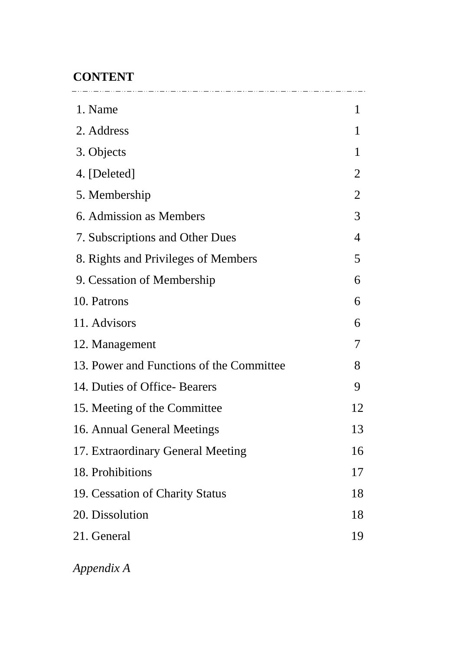# **CONTENT**

| 1. Name                                  | 1              |
|------------------------------------------|----------------|
| 2. Address                               | 1              |
| 3. Objects                               | 1              |
| 4. [Deleted]                             | 2              |
| 5. Membership                            | $\overline{2}$ |
| 6. Admission as Members                  | 3              |
| 7. Subscriptions and Other Dues          | 4              |
| 8. Rights and Privileges of Members      | 5              |
| 9. Cessation of Membership               | 6              |
| 10. Patrons                              | 6              |
| 11. Advisors                             | 6              |
| 12. Management                           | 7              |
| 13. Power and Functions of the Committee | 8              |
| 14. Duties of Office-Bearers             | 9              |
| 15. Meeting of the Committee             | 12             |
| 16. Annual General Meetings              | 13             |
| 17. Extraordinary General Meeting        | 16             |
| 18. Prohibitions                         | 17             |
| 19. Cessation of Charity Status          | 18             |
| 20. Dissolution                          | 18             |
| 21. General                              | 19             |
|                                          |                |

*Appendix A*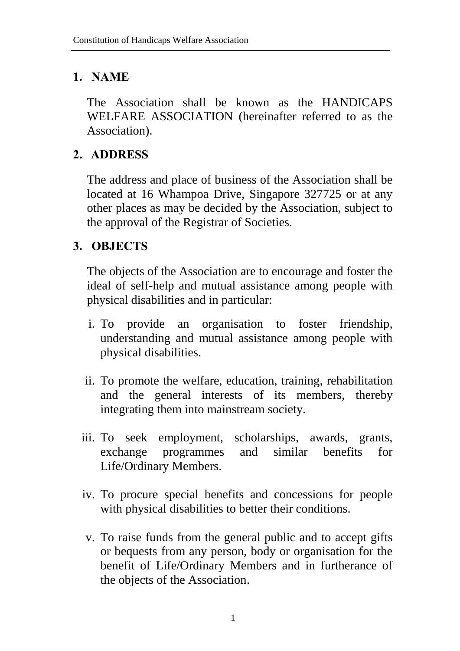### **1. NAME**

The Association shall be known as the HANDICAPS WELFARE ASSOCIATION (hereinafter referred to as the Association).

### **2. ADDRESS**

The address and place of business of the Association shall be located at 16 Whampoa Drive, Singapore 327725 or at any other places as may be decided by the Association, subject to the approval of the Registrar of Societies.

### **3. OBJECTS**

The objects of the Association are to encourage and foster the ideal of self-help and mutual assistance among people with physical disabilities and in particular:

- i. To provide an organisation to foster friendship, understanding and mutual assistance among people with physical disabilities.
- ii. To promote the welfare, education, training, rehabilitation and the general interests of its members, thereby integrating them into mainstream society.
- iii. To seek employment, scholarships, awards, grants, exchange programmes and similar benefits for Life/Ordinary Members.
- iv. To procure special benefits and concessions for people with physical disabilities to better their conditions.
- v. To raise funds from the general public and to accept gifts or bequests from any person, body or organisation for the benefit of Life/Ordinary Members and in furtherance of the objects of the Association.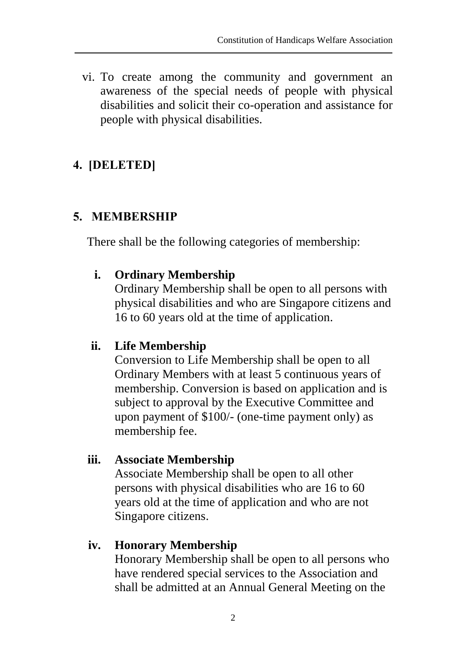vi. To create among the community and government an awareness of the special needs of people with physical disabilities and solicit their co-operation and assistance for people with physical disabilities.

## **4. [DELETED]**

### **5. MEMBERSHIP**

There shall be the following categories of membership:

### **i. Ordinary Membership**

Ordinary Membership shall be open to all persons with physical disabilities and who are Singapore citizens and 16 to 60 years old at the time of application.

### **ii. Life Membership**

Conversion to Life Membership shall be open to all Ordinary Members with at least 5 continuous years of membership. Conversion is based on application and is subject to approval by the Executive Committee and upon payment of \$100/- (one-time payment only) as membership fee.

### **iii. Associate Membership**

Associate Membership shall be open to all other persons with physical disabilities who are 16 to 60 years old at the time of application and who are not Singapore citizens.

### **iv. Honorary Membership**

Honorary Membership shall be open to all persons who have rendered special services to the Association and shall be admitted at an Annual General Meeting on the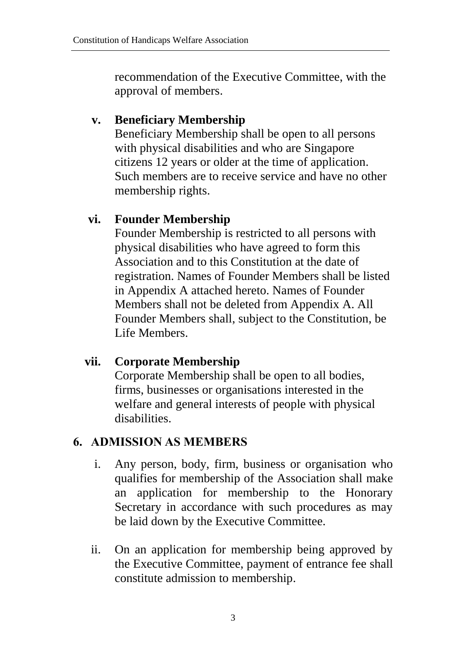recommendation of the Executive Committee, with the approval of members.

### **v. Beneficiary Membership**

Beneficiary Membership shall be open to all persons with physical disabilities and who are Singapore citizens 12 years or older at the time of application. Such members are to receive service and have no other membership rights.

### **vi. Founder Membership**

Founder Membership is restricted to all persons with physical disabilities who have agreed to form this Association and to this Constitution at the date of registration. Names of Founder Members shall be listed in Appendix A attached hereto. Names of Founder Members shall not be deleted from Appendix A. All Founder Members shall, subject to the Constitution, be Life Members.

### **vii. Corporate Membership**

Corporate Membership shall be open to all bodies, firms, businesses or organisations interested in the welfare and general interests of people with physical disabilities.

### **6. ADMISSION AS MEMBERS**

- i. Any person, body, firm, business or organisation who qualifies for membership of the Association shall make an application for membership to the Honorary Secretary in accordance with such procedures as may be laid down by the Executive Committee.
- ii. On an application for membership being approved by the Executive Committee, payment of entrance fee shall constitute admission to membership.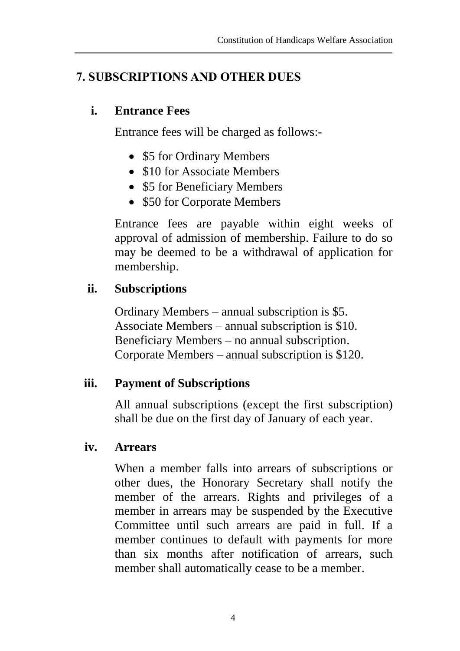### **7. SUBSCRIPTIONS AND OTHER DUES**

#### **i. Entrance Fees**

Entrance fees will be charged as follows:-

- \$5 for Ordinary Members
- \$10 for Associate Members
- \$5 for Beneficiary Members
- \$50 for Corporate Members

Entrance fees are payable within eight weeks of approval of admission of membership. Failure to do so may be deemed to be a withdrawal of application for membership.

### **ii. Subscriptions**

Ordinary Members – annual subscription is \$5. Associate Members – annual subscription is \$10. Beneficiary Members – no annual subscription. Corporate Members – annual subscription is \$120.

### **iii. Payment of Subscriptions**

All annual subscriptions (except the first subscription) shall be due on the first day of January of each year.

#### **iv. Arrears**

When a member falls into arrears of subscriptions or other dues, the Honorary Secretary shall notify the member of the arrears. Rights and privileges of a member in arrears may be suspended by the Executive Committee until such arrears are paid in full. If a member continues to default with payments for more than six months after notification of arrears, such member shall automatically cease to be a member.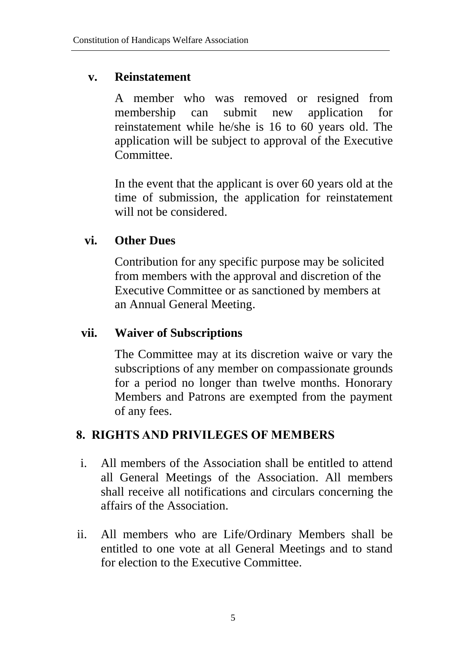#### **v. Reinstatement**

A member who was removed or resigned from membership can submit new application for reinstatement while he/she is 16 to 60 years old. The application will be subject to approval of the Executive Committee.

In the event that the applicant is over 60 years old at the time of submission, the application for reinstatement will not be considered.

### **vi. Other Dues**

Contribution for any specific purpose may be solicited from members with the approval and discretion of the Executive Committee or as sanctioned by members at an Annual General Meeting.

### **vii. Waiver of Subscriptions**

The Committee may at its discretion waive or vary the subscriptions of any member on compassionate grounds for a period no longer than twelve months. Honorary Members and Patrons are exempted from the payment of any fees.

### **8. RIGHTS AND PRIVILEGES OF MEMBERS**

- i. All members of the Association shall be entitled to attend all General Meetings of the Association. All members shall receive all notifications and circulars concerning the affairs of the Association.
- ii. All members who are Life/Ordinary Members shall be entitled to one vote at all General Meetings and to stand for election to the Executive Committee.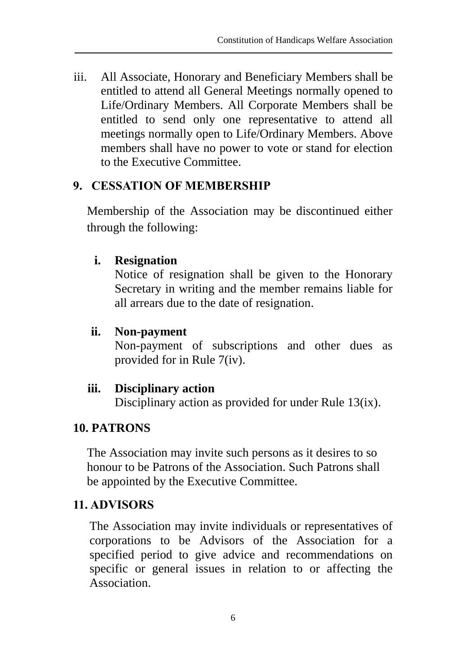iii. All Associate, Honorary and Beneficiary Members shall be entitled to attend all General Meetings normally opened to Life/Ordinary Members. All Corporate Members shall be entitled to send only one representative to attend all meetings normally open to Life/Ordinary Members. Above members shall have no power to vote or stand for election to the Executive Committee.

### **9. CESSATION OF MEMBERSHIP**

Membership of the Association may be discontinued either through the following:

### **i. Resignation**

Notice of resignation shall be given to the Honorary Secretary in writing and the member remains liable for all arrears due to the date of resignation.

### **ii. Non-payment**

Non-payment of subscriptions and other dues as provided for in Rule 7(iv).

### **iii. Disciplinary action**

Disciplinary action as provided for under Rule 13(ix).

### **10. PATRONS**

The Association may invite such persons as it desires to so honour to be Patrons of the Association. Such Patrons shall be appointed by the Executive Committee.

### **11. ADVISORS**

The Association may invite individuals or representatives of corporations to be Advisors of the Association for a specified period to give advice and recommendations on specific or general issues in relation to or affecting the Association.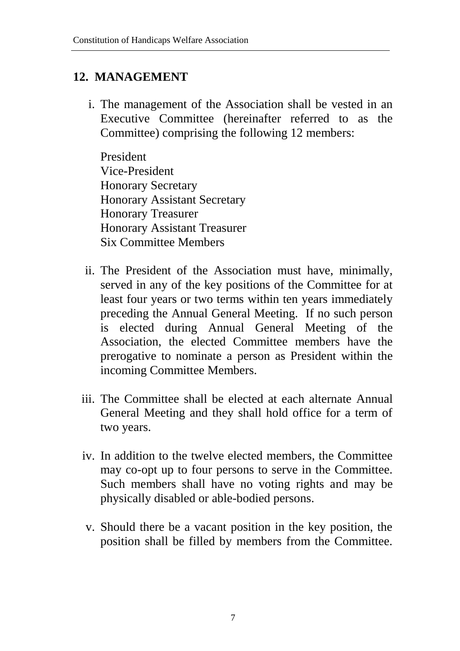### **12. MANAGEMENT**

i. The management of the Association shall be vested in an Executive Committee (hereinafter referred to as the Committee) comprising the following 12 members:

President Vice-President Honorary Secretary Honorary Assistant Secretary Honorary Treasurer Honorary Assistant Treasurer Six Committee Members

- ii. The President of the Association must have, minimally, served in any of the key positions of the Committee for at least four years or two terms within ten years immediately preceding the Annual General Meeting. If no such person is elected during Annual General Meeting of the Association, the elected Committee members have the prerogative to nominate a person as President within the incoming Committee Members.
- iii. The Committee shall be elected at each alternate Annual General Meeting and they shall hold office for a term of two years.
- iv. In addition to the twelve elected members, the Committee may co-opt up to four persons to serve in the Committee. Such members shall have no voting rights and may be physically disabled or able-bodied persons.
- v. Should there be a vacant position in the key position, the position shall be filled by members from the Committee.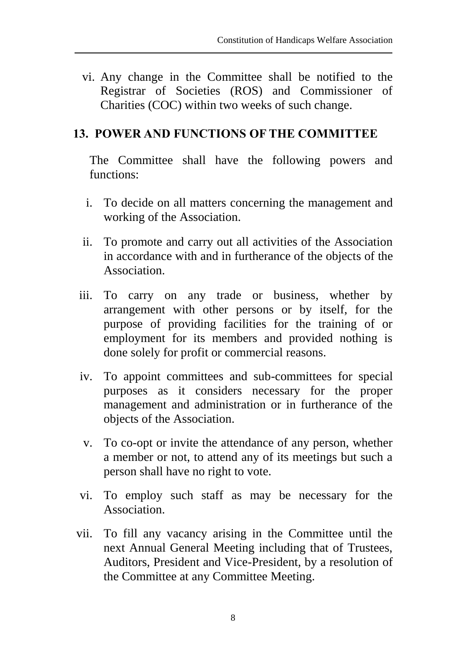vi. Any change in the Committee shall be notified to the Registrar of Societies (ROS) and Commissioner of Charities (COC) within two weeks of such change.

#### **13. POWER AND FUNCTIONS OF THE COMMITTEE**

The Committee shall have the following powers and functions:

- i. To decide on all matters concerning the management and working of the Association.
- ii. To promote and carry out all activities of the Association in accordance with and in furtherance of the objects of the Association.
- iii. To carry on any trade or business, whether by arrangement with other persons or by itself, for the purpose of providing facilities for the training of or employment for its members and provided nothing is done solely for profit or commercial reasons.
- iv. To appoint committees and sub-committees for special purposes as it considers necessary for the proper management and administration or in furtherance of the objects of the Association.
- v. To co-opt or invite the attendance of any person, whether a member or not, to attend any of its meetings but such a person shall have no right to vote.
- vi. To employ such staff as may be necessary for the Association.
- vii. To fill any vacancy arising in the Committee until the next Annual General Meeting including that of Trustees, Auditors, President and Vice-President, by a resolution of the Committee at any Committee Meeting.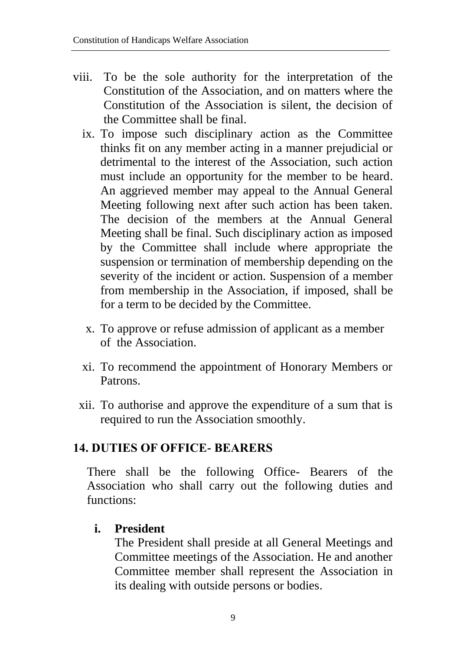- viii. To be the sole authority for the interpretation of the Constitution of the Association, and on matters where the Constitution of the Association is silent, the decision of the Committee shall be final.
	- ix. To impose such disciplinary action as the Committee thinks fit on any member acting in a manner prejudicial or detrimental to the interest of the Association, such action must include an opportunity for the member to be heard. An aggrieved member may appeal to the Annual General Meeting following next after such action has been taken. The decision of the members at the Annual General Meeting shall be final. Such disciplinary action as imposed by the Committee shall include where appropriate the suspension or termination of membership depending on the severity of the incident or action. Suspension of a member from membership in the Association, if imposed, shall be for a term to be decided by the Committee.
		- x. To approve or refuse admission of applicant as a member of the Association.
	- xi. To recommend the appointment of Honorary Members or Patrons.
	- xii. To authorise and approve the expenditure of a sum that is required to run the Association smoothly.

### **14. DUTIES OF OFFICE- BEARERS**

There shall be the following Office- Bearers of the Association who shall carry out the following duties and functions:

### **i. President**

The President shall preside at all General Meetings and Committee meetings of the Association. He and another Committee member shall represent the Association in its dealing with outside persons or bodies.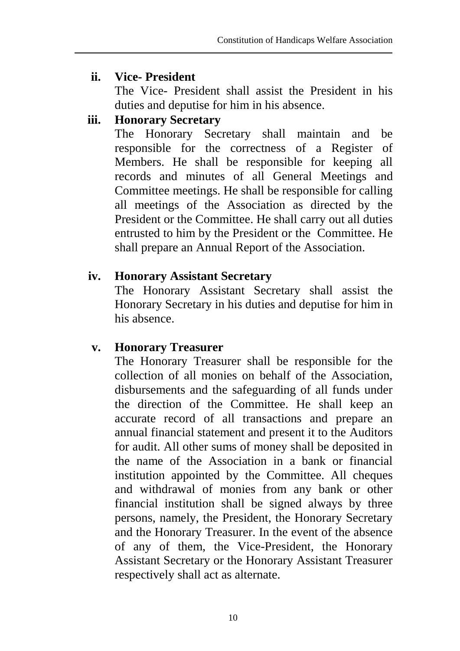#### **ii. Vice- President**

The Vice- President shall assist the President in his duties and deputise for him in his absence.

### **iii. Honorary Secretary**

The Honorary Secretary shall maintain and be responsible for the correctness of a Register of Members. He shall be responsible for keeping all records and minutes of all General Meetings and Committee meetings. He shall be responsible for calling all meetings of the Association as directed by the President or the Committee. He shall carry out all duties entrusted to him by the President or the Committee. He shall prepare an Annual Report of the Association.

#### **iv. Honorary Assistant Secretary**

The Honorary Assistant Secretary shall assist the Honorary Secretary in his duties and deputise for him in his absence.

### **v. Honorary Treasurer**

The Honorary Treasurer shall be responsible for the collection of all monies on behalf of the Association, disbursements and the safeguarding of all funds under the direction of the Committee. He shall keep an accurate record of all transactions and prepare an annual financial statement and present it to the Auditors for audit. All other sums of money shall be deposited in the name of the Association in a bank or financial institution appointed by the Committee. All cheques and withdrawal of monies from any bank or other financial institution shall be signed always by three persons, namely, the President, the Honorary Secretary and the Honorary Treasurer. In the event of the absence of any of them, the Vice-President, the Honorary Assistant Secretary or the Honorary Assistant Treasurer respectively shall act as alternate.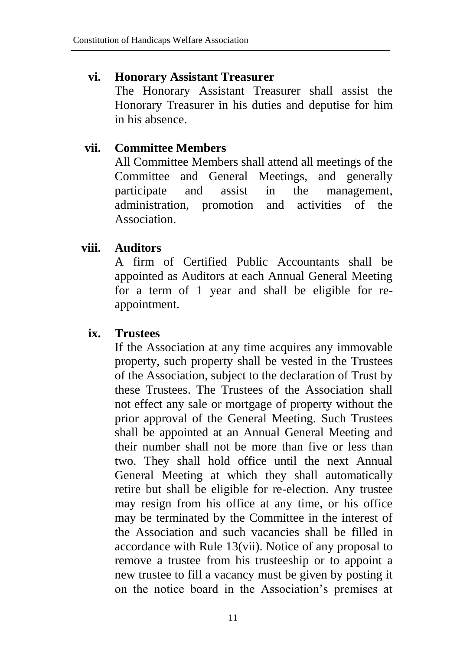#### **vi. Honorary Assistant Treasurer**

The Honorary Assistant Treasurer shall assist the Honorary Treasurer in his duties and deputise for him in his absence.

### **vii. Committee Members**

All Committee Members shall attend all meetings of the Committee and General Meetings, and generally participate and assist in the management, administration, promotion and activities of the Association.

### **viii. Auditors**

A firm of Certified Public Accountants shall be appointed as Auditors at each Annual General Meeting for a term of 1 year and shall be eligible for reappointment.

### **ix. Trustees**

If the Association at any time acquires any immovable property, such property shall be vested in the Trustees of the Association, subject to the declaration of Trust by these Trustees. The Trustees of the Association shall not effect any sale or mortgage of property without the prior approval of the General Meeting. Such Trustees shall be appointed at an Annual General Meeting and their number shall not be more than five or less than two. They shall hold office until the next Annual General Meeting at which they shall automatically retire but shall be eligible for re-election. Any trustee may resign from his office at any time, or his office may be terminated by the Committee in the interest of the Association and such vacancies shall be filled in accordance with Rule 13(vii). Notice of any proposal to remove a trustee from his trusteeship or to appoint a new trustee to fill a vacancy must be given by posting it on the notice board in the Association's premises at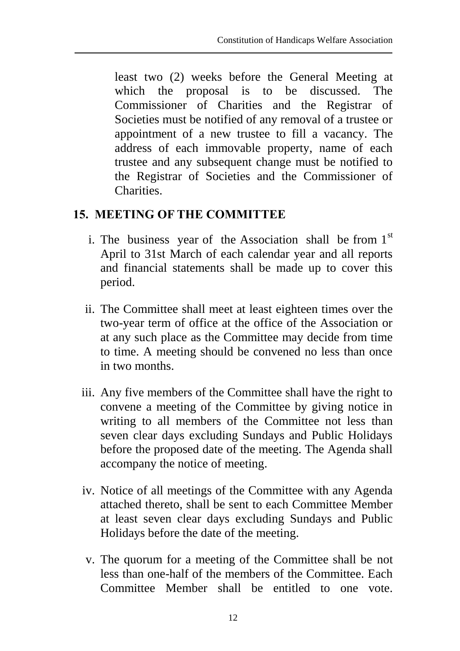least two (2) weeks before the General Meeting at which the proposal is to be discussed. The Commissioner of Charities and the Registrar of Societies must be notified of any removal of a trustee or appointment of a new trustee to fill a vacancy. The address of each immovable property, name of each trustee and any subsequent change must be notified to the Registrar of Societies and the Commissioner of Charities.

## **15. MEETING OF THE COMMITTEE**

- i. The business year of the Association shall be from  $1<sup>st</sup>$ April to 31st March of each calendar year and all reports and financial statements shall be made up to cover this period.
- ii. The Committee shall meet at least eighteen times over the two-year term of office at the office of the Association or at any such place as the Committee may decide from time to time. A meeting should be convened no less than once in two months.
- iii. Any five members of the Committee shall have the right to convene a meeting of the Committee by giving notice in writing to all members of the Committee not less than seven clear days excluding Sundays and Public Holidays before the proposed date of the meeting. The Agenda shall accompany the notice of meeting.
- iv. Notice of all meetings of the Committee with any Agenda attached thereto, shall be sent to each Committee Member at least seven clear days excluding Sundays and Public Holidays before the date of the meeting.
- v. The quorum for a meeting of the Committee shall be not less than one-half of the members of the Committee. Each Committee Member shall be entitled to one vote.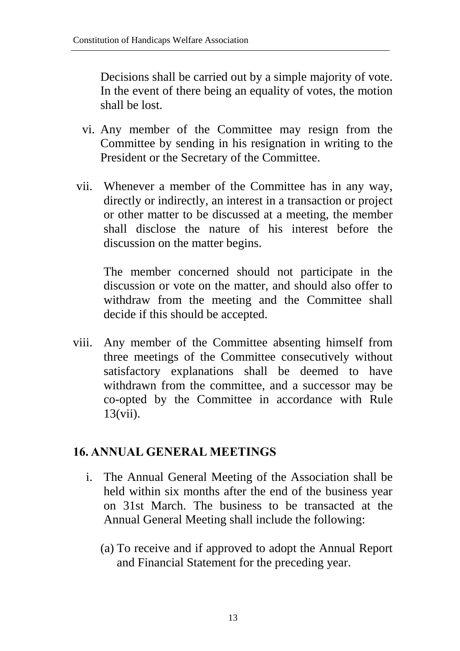Decisions shall be carried out by a simple majority of vote. In the event of there being an equality of votes, the motion shall be lost.

- vi. Any member of the Committee may resign from the Committee by sending in his resignation in writing to the President or the Secretary of the Committee.
- vii. Whenever a member of the Committee has in any way, directly or indirectly, an interest in a transaction or project or other matter to be discussed at a meeting, the member shall disclose the nature of his interest before the discussion on the matter begins.

The member concerned should not participate in the discussion or vote on the matter, and should also offer to withdraw from the meeting and the Committee shall decide if this should be accepted.

viii. Any member of the Committee absenting himself from three meetings of the Committee consecutively without satisfactory explanations shall be deemed to have withdrawn from the committee, and a successor may be co-opted by the Committee in accordance with Rule 13(vii).

### **16. ANNUAL GENERAL MEETINGS**

- i. The Annual General Meeting of the Association shall be held within six months after the end of the business year on 31st March. The business to be transacted at the Annual General Meeting shall include the following:
	- (a) To receive and if approved to adopt the Annual Report and Financial Statement for the preceding year.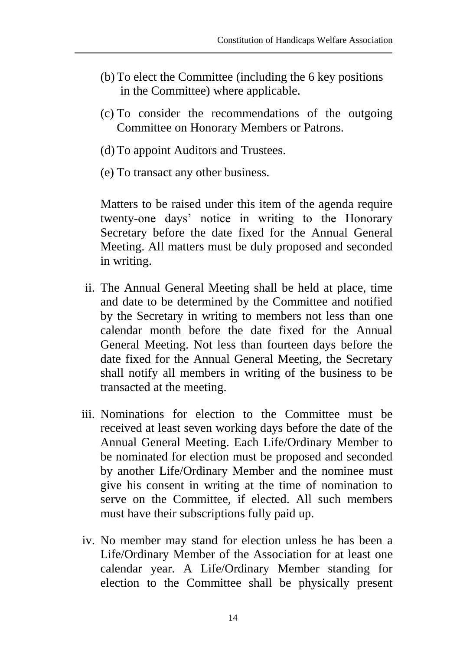- (b) To elect the Committee (including the 6 key positions in the Committee) where applicable.
- (c) To consider the recommendations of the outgoing Committee on Honorary Members or Patrons.
- (d) To appoint Auditors and Trustees.
- (e) To transact any other business.

Matters to be raised under this item of the agenda require twenty-one days' notice in writing to the Honorary Secretary before the date fixed for the Annual General Meeting. All matters must be duly proposed and seconded in writing.

- ii. The Annual General Meeting shall be held at place, time and date to be determined by the Committee and notified by the Secretary in writing to members not less than one calendar month before the date fixed for the Annual General Meeting. Not less than fourteen days before the date fixed for the Annual General Meeting, the Secretary shall notify all members in writing of the business to be transacted at the meeting.
- iii. Nominations for election to the Committee must be received at least seven working days before the date of the Annual General Meeting. Each Life/Ordinary Member to be nominated for election must be proposed and seconded by another Life/Ordinary Member and the nominee must give his consent in writing at the time of nomination to serve on the Committee, if elected. All such members must have their subscriptions fully paid up.
- iv. No member may stand for election unless he has been a Life/Ordinary Member of the Association for at least one calendar year. A Life/Ordinary Member standing for election to the Committee shall be physically present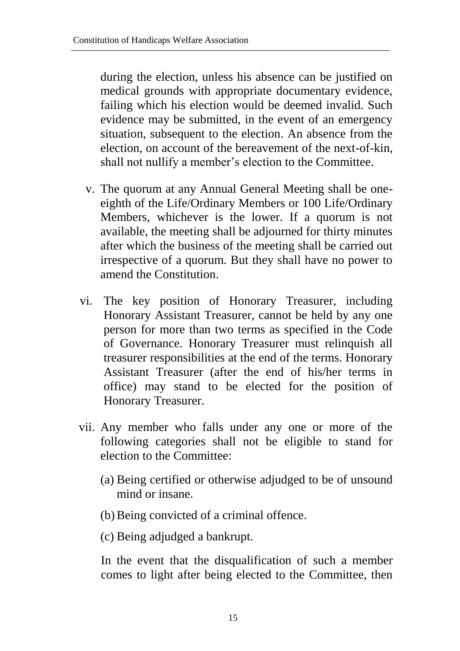during the election, unless his absence can be justified on medical grounds with appropriate documentary evidence, failing which his election would be deemed invalid. Such evidence may be submitted, in the event of an emergency situation, subsequent to the election. An absence from the election, on account of the bereavement of the next-of-kin, shall not nullify a member's election to the Committee.

- v. The quorum at any Annual General Meeting shall be oneeighth of the Life/Ordinary Members or 100 Life/Ordinary Members, whichever is the lower. If a quorum is not available, the meeting shall be adjourned for thirty minutes after which the business of the meeting shall be carried out irrespective of a quorum. But they shall have no power to amend the Constitution.
- vi. The key position of Honorary Treasurer, including Honorary Assistant Treasurer, cannot be held by any one person for more than two terms as specified in the Code of Governance. Honorary Treasurer must relinquish all treasurer responsibilities at the end of the terms. Honorary Assistant Treasurer (after the end of his/her terms in office) may stand to be elected for the position of Honorary Treasurer.
- vii. Any member who falls under any one or more of the following categories shall not be eligible to stand for election to the Committee:
	- (a) Being certified or otherwise adjudged to be of unsound mind or insane.
	- (b)Being convicted of a criminal offence.
	- (c) Being adjudged a bankrupt.

In the event that the disqualification of such a member comes to light after being elected to the Committee, then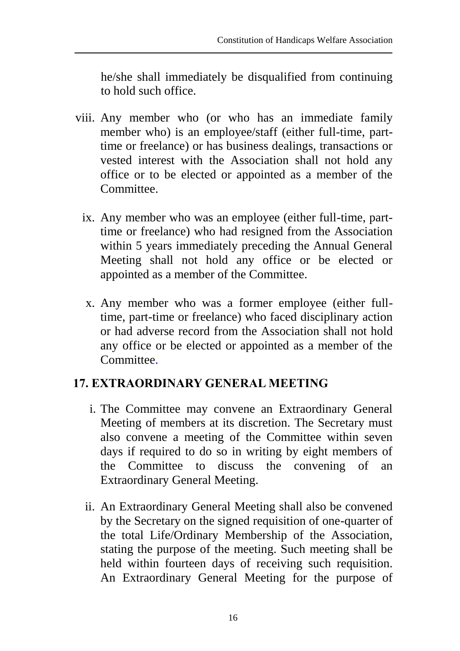he/she shall immediately be disqualified from continuing to hold such office.

- viii. Any member who (or who has an immediate family member who) is an employee/staff (either full-time, parttime or freelance) or has business dealings, transactions or vested interest with the Association shall not hold any office or to be elected or appointed as a member of the Committee.
	- ix. Any member who was an employee (either full-time, parttime or freelance) who had resigned from the Association within 5 years immediately preceding the Annual General Meeting shall not hold any office or be elected or appointed as a member of the Committee.
		- x. Any member who was a former employee (either fulltime, part-time or freelance) who faced disciplinary action or had adverse record from the Association shall not hold any office or be elected or appointed as a member of the Committee.

### **17. EXTRAORDINARY GENERAL MEETING**

- i. The Committee may convene an Extraordinary General Meeting of members at its discretion. The Secretary must also convene a meeting of the Committee within seven days if required to do so in writing by eight members of the Committee to discuss the convening of an Extraordinary General Meeting.
- ii. An Extraordinary General Meeting shall also be convened by the Secretary on the signed requisition of one-quarter of the total Life/Ordinary Membership of the Association, stating the purpose of the meeting. Such meeting shall be held within fourteen days of receiving such requisition. An Extraordinary General Meeting for the purpose of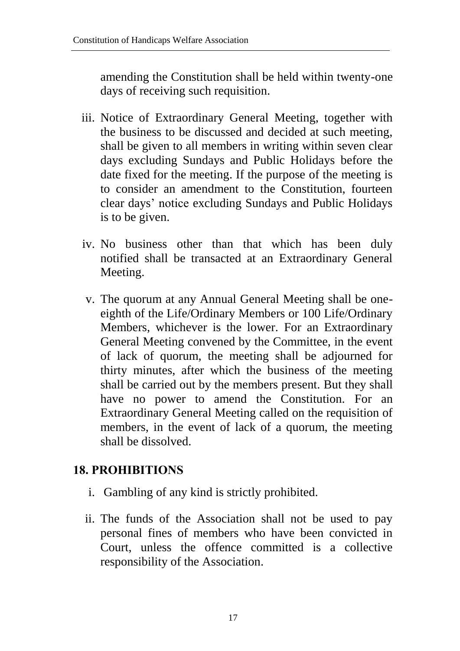amending the Constitution shall be held within twenty-one days of receiving such requisition.

- iii. Notice of Extraordinary General Meeting, together with the business to be discussed and decided at such meeting, shall be given to all members in writing within seven clear days excluding Sundays and Public Holidays before the date fixed for the meeting. If the purpose of the meeting is to consider an amendment to the Constitution, fourteen clear days' notice excluding Sundays and Public Holidays is to be given.
- iv. No business other than that which has been duly notified shall be transacted at an Extraordinary General Meeting.
- v. The quorum at any Annual General Meeting shall be oneeighth of the Life/Ordinary Members or 100 Life/Ordinary Members, whichever is the lower. For an Extraordinary General Meeting convened by the Committee, in the event of lack of quorum, the meeting shall be adjourned for thirty minutes, after which the business of the meeting shall be carried out by the members present. But they shall have no power to amend the Constitution. For an Extraordinary General Meeting called on the requisition of members, in the event of lack of a quorum, the meeting shall be dissolved.

### **18. PROHIBITIONS**

- i. Gambling of any kind is strictly prohibited.
- ii. The funds of the Association shall not be used to pay personal fines of members who have been convicted in Court, unless the offence committed is a collective responsibility of the Association.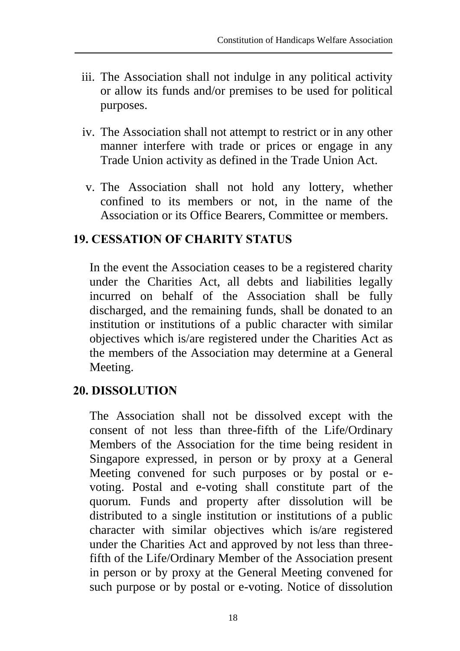- iii. The Association shall not indulge in any political activity or allow its funds and/or premises to be used for political purposes.
- iv. The Association shall not attempt to restrict or in any other manner interfere with trade or prices or engage in any Trade Union activity as defined in the Trade Union Act.
	- v. The Association shall not hold any lottery, whether confined to its members or not, in the name of the Association or its Office Bearers, Committee or members.

### **19. CESSATION OF CHARITY STATUS**

In the event the Association ceases to be a registered charity under the Charities Act, all debts and liabilities legally incurred on behalf of the Association shall be fully discharged, and the remaining funds, shall be donated to an institution or institutions of a public character with similar objectives which is/are registered under the Charities Act as the members of the Association may determine at a General Meeting.

### **20. DISSOLUTION**

The Association shall not be dissolved except with the consent of not less than three-fifth of the Life/Ordinary Members of the Association for the time being resident in Singapore expressed, in person or by proxy at a General Meeting convened for such purposes or by postal or evoting. Postal and e-voting shall constitute part of the quorum. Funds and property after dissolution will be distributed to a single institution or institutions of a public character with similar objectives which is/are registered under the Charities Act and approved by not less than threefifth of the Life/Ordinary Member of the Association present in person or by proxy at the General Meeting convened for such purpose or by postal or e-voting. Notice of dissolution